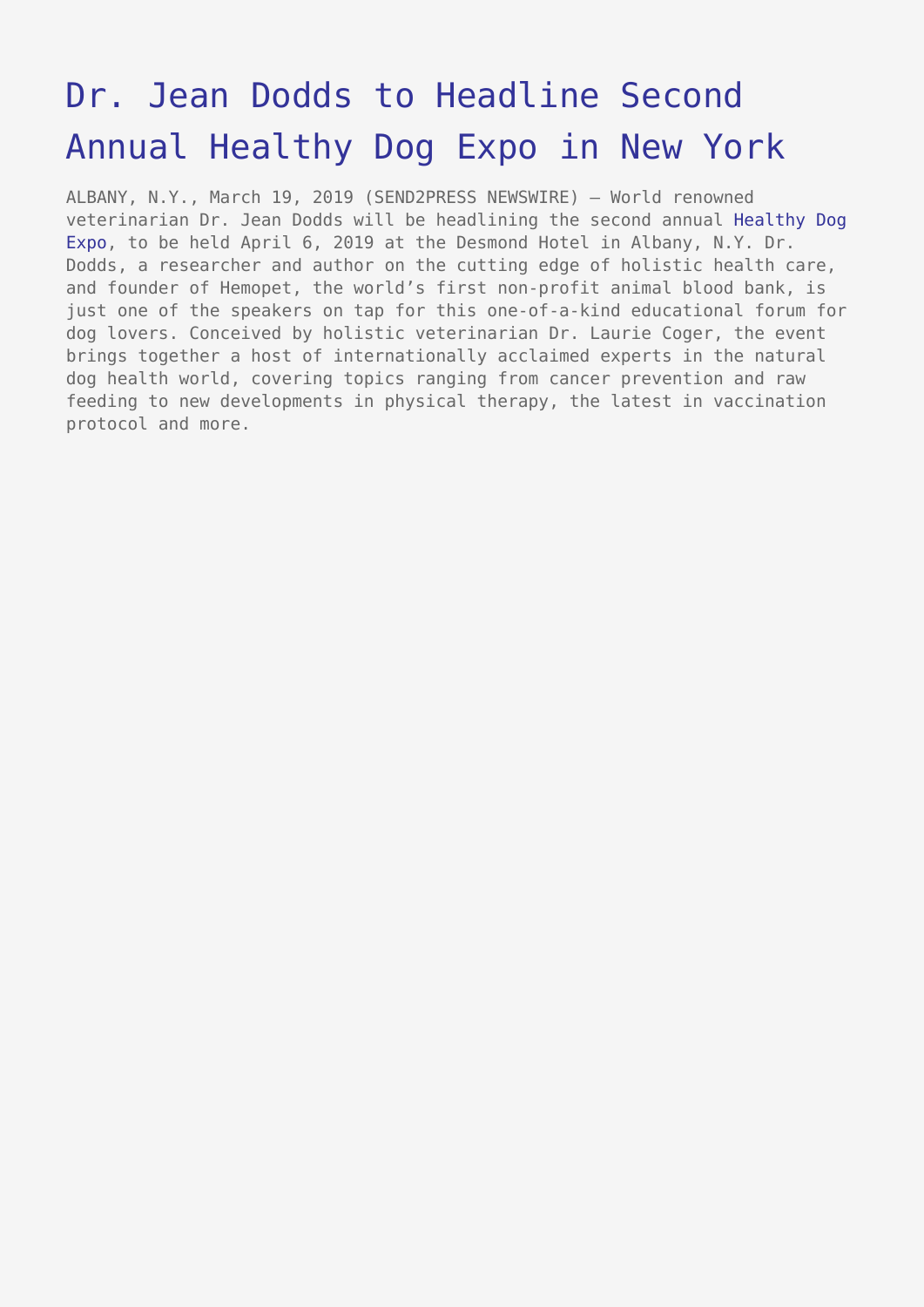## [Dr. Jean Dodds to Headline Second](https://www.send2press.com/wire/dr-jean-dodds-to-headline-second-annual-healthy-dog-expo-in-new-york/) [Annual Healthy Dog Expo in New York](https://www.send2press.com/wire/dr-jean-dodds-to-headline-second-annual-healthy-dog-expo-in-new-york/)

ALBANY, N.Y., March 19, 2019 (SEND2PRESS NEWSWIRE) — World renowned veterinarian Dr. Jean Dodds will be headlining the second annual [Healthy Dog](http://www.healthydogexpo.com) [Expo](http://www.healthydogexpo.com), to be held April 6, 2019 at the Desmond Hotel in Albany, N.Y. Dr. Dodds, a researcher and author on the cutting edge of holistic health care, and founder of Hemopet, the world's first non-profit animal blood bank, is just one of the speakers on tap for this one-of-a-kind educational forum for dog lovers. Conceived by holistic veterinarian Dr. Laurie Coger, the event brings together a host of internationally acclaimed experts in the natural dog health world, covering topics ranging from cancer prevention and raw feeding to new developments in physical therapy, the latest in vaccination protocol and more.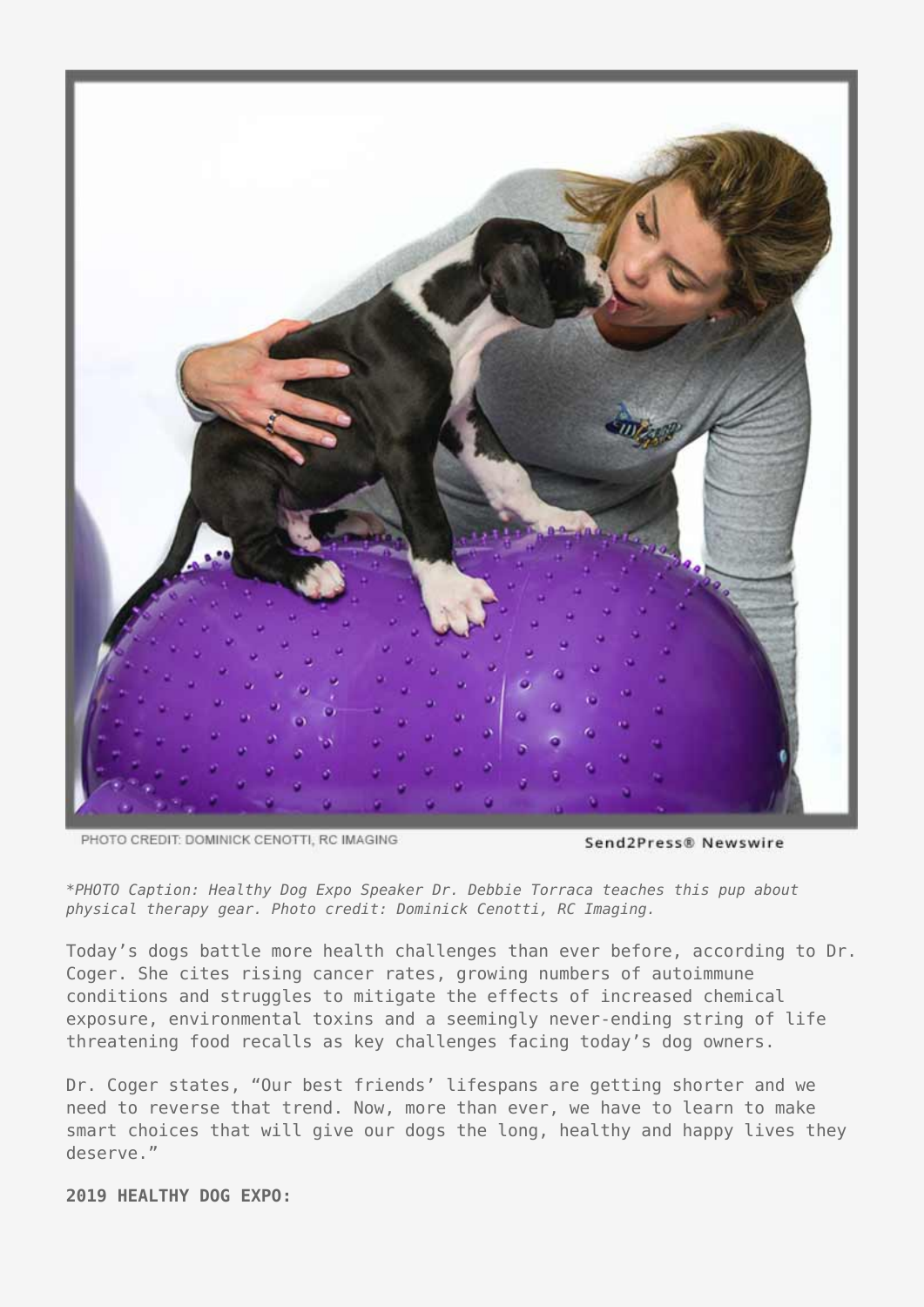

PHOTO CREDIT: DOMINICK CENOTTI, RC IMAGING

Send2Press® Newswire

*\*PHOTO Caption: Healthy Dog Expo Speaker Dr. Debbie Torraca teaches this pup about physical therapy gear. Photo credit: Dominick Cenotti, RC Imaging.*

Today's dogs battle more health challenges than ever before, according to Dr. Coger. She cites rising cancer rates, growing numbers of autoimmune conditions and struggles to mitigate the effects of increased chemical exposure, environmental toxins and a seemingly never-ending string of life threatening food recalls as key challenges facing today's dog owners.

Dr. Coger states, "Our best friends' lifespans are getting shorter and we need to reverse that trend. Now, more than ever, we have to learn to make smart choices that will give our dogs the long, healthy and happy lives they deserve."

**2019 HEALTHY DOG EXPO:**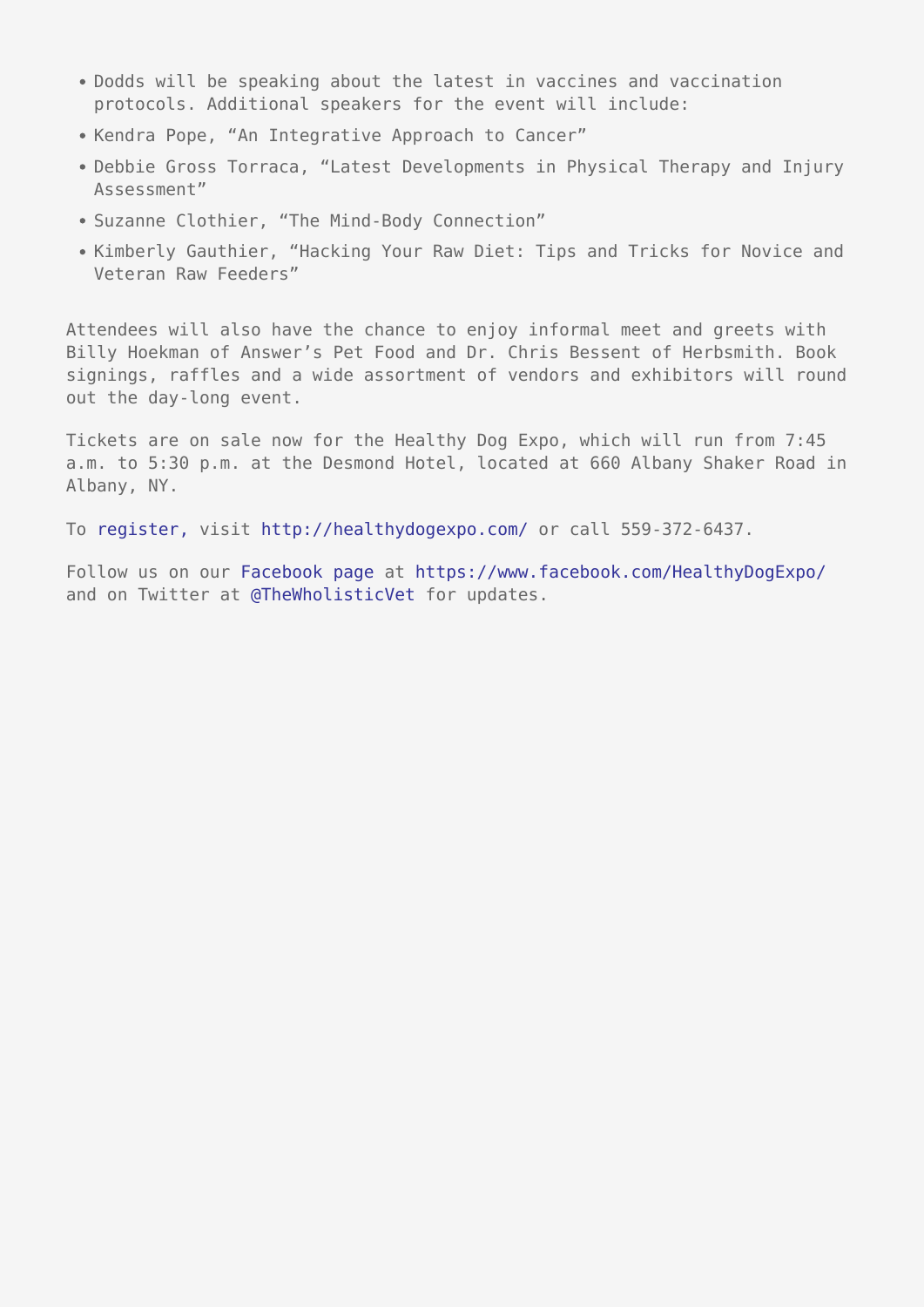- Dodds will be speaking about the latest in vaccines and vaccination protocols. Additional speakers for the event will include:
- Kendra Pope, "An Integrative Approach to Cancer"
- Debbie Gross Torraca, "Latest Developments in Physical Therapy and Injury Assessment"
- Suzanne Clothier, "The Mind-Body Connection"
- Kimberly Gauthier, "Hacking Your Raw Diet: Tips and Tricks for Novice and Veteran Raw Feeders"

Attendees will also have the chance to enjoy informal meet and greets with Billy Hoekman of Answer's Pet Food and Dr. Chris Bessent of Herbsmith. Book signings, raffles and a wide assortment of vendors and exhibitors will round out the day-long event.

Tickets are on sale now for the Healthy Dog Expo, which will run from 7:45 a.m. to 5:30 p.m. at the Desmond Hotel, located at 660 Albany Shaker Road in Albany, NY.

To [register,](http://healthydogexpo.com/registration/) visit<http://healthydogexpo.com/>or call 559-372-6437.

Follow us on our [Facebook page](https://www.facebook.com/HealthyDogExpo/) at <https://www.facebook.com/HealthyDogExpo/> and on Twitter at [@TheWholisticVet](https://twitter.com/TheWholisticVet) for updates.